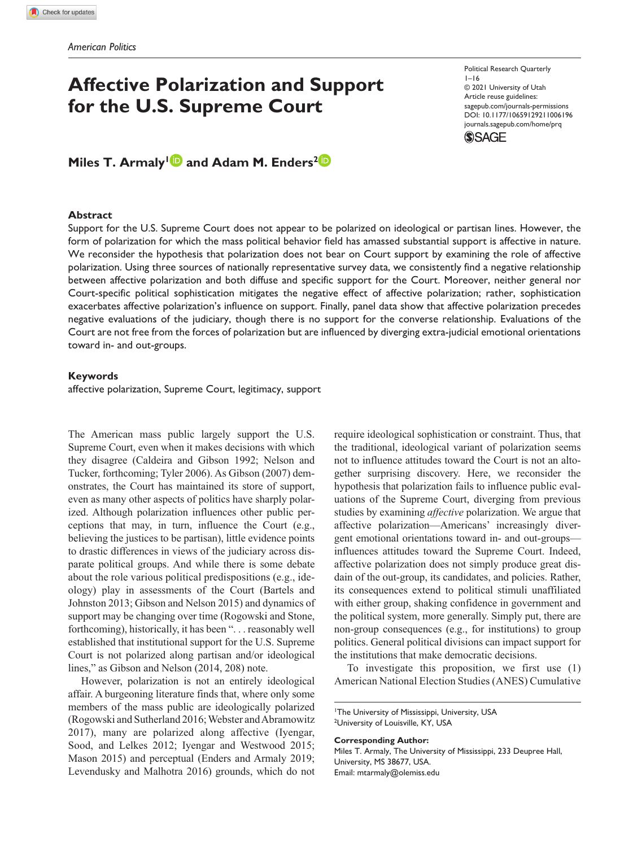# **Affective Polarization and Support for the U.S. Supreme Court**

Miles T. Armaly<sup>1</sup> and Adam M. Enders<sup>2</sup>

### **Abstract**

Support for the U.S. Supreme Court does not appear to be polarized on ideological or partisan lines. However, the form of polarization for which the mass political behavior field has amassed substantial support is affective in nature. We reconsider the hypothesis that polarization does not bear on Court support by examining the role of affective polarization. Using three sources of nationally representative survey data, we consistently find a negative relationship between affective polarization and both diffuse and specific support for the Court. Moreover, neither general nor Court-specific political sophistication mitigates the negative effect of affective polarization; rather, sophistication exacerbates affective polarization's influence on support. Finally, panel data show that affective polarization precedes negative evaluations of the judiciary, though there is no support for the converse relationship. Evaluations of the Court are not free from the forces of polarization but are influenced by diverging extra-judicial emotional orientations toward in- and out-groups.

#### **Keywords**

affective polarization, Supreme Court, legitimacy, support

The American mass public largely support the U.S. Supreme Court, even when it makes decisions with which they disagree (Caldeira and Gibson 1992; Nelson and Tucker, forthcoming; Tyler 2006). As Gibson (2007) demonstrates, the Court has maintained its store of support, even as many other aspects of politics have sharply polarized. Although polarization influences other public perceptions that may, in turn, influence the Court (e.g., believing the justices to be partisan), little evidence points to drastic differences in views of the judiciary across disparate political groups. And while there is some debate about the role various political predispositions (e.g., ideology) play in assessments of the Court (Bartels and Johnston 2013; Gibson and Nelson 2015) and dynamics of support may be changing over time (Rogowski and Stone, forthcoming), historically, it has been ". . . reasonably well established that institutional support for the U.S. Supreme Court is not polarized along partisan and/or ideological lines," as Gibson and Nelson (2014, 208) note.

However, polarization is not an entirely ideological affair. A burgeoning literature finds that, where only some members of the mass public are ideologically polarized (Rogowski and Sutherland 2016; Webster and Abramowitz 2017), many are polarized along affective (Iyengar, Sood, and Lelkes 2012; Iyengar and Westwood 2015; Mason 2015) and perceptual (Enders and Armaly 2019; Levendusky and Malhotra 2016) grounds, which do not require ideological sophistication or constraint. Thus, that the traditional, ideological variant of polarization seems not to influence attitudes toward the Court is not an altogether surprising discovery. Here, we reconsider the hypothesis that polarization fails to influence public evaluations of the Supreme Court, diverging from previous studies by examining *affective* polarization. We argue that affective polarization—Americans' increasingly divergent emotional orientations toward in- and out-groups influences attitudes toward the Supreme Court. Indeed, affective polarization does not simply produce great disdain of the out-group, its candidates, and policies. Rather, its consequences extend to political stimuli unaffiliated with either group, shaking confidence in government and the political system, more generally. Simply put, there are non-group consequences (e.g., for institutions) to group politics. General political divisions can impact support for the institutions that make democratic decisions.

To investigate this proposition, we first use (1) American National Election Studies (ANES) Cumulative

**Corresponding Author:**

Miles T. Armaly, The University of Mississippi, 233 Deupree Hall, University, MS 38677, USA. Email: [mtarmaly@olemiss.edu](mailto:mtarmaly@olemiss.edu)

Political Research Quarterly  $1 - 16$ © 2021 University of Utah Article reuse guidelines: [sagepub.com/journals-permissions](https://us.sagepub.com/en-us/journals-permissions) https://doi.org/10.1177/10659129211006196 DOI: 10.1177/10659129211006196 [journals.sagepub.com/home/prq](https://journals.sagepub.com/home/prq) **SSAGE** 

<sup>1</sup> The University of Mississippi, University, USA <sup>2</sup>University of Louisville, KY, USA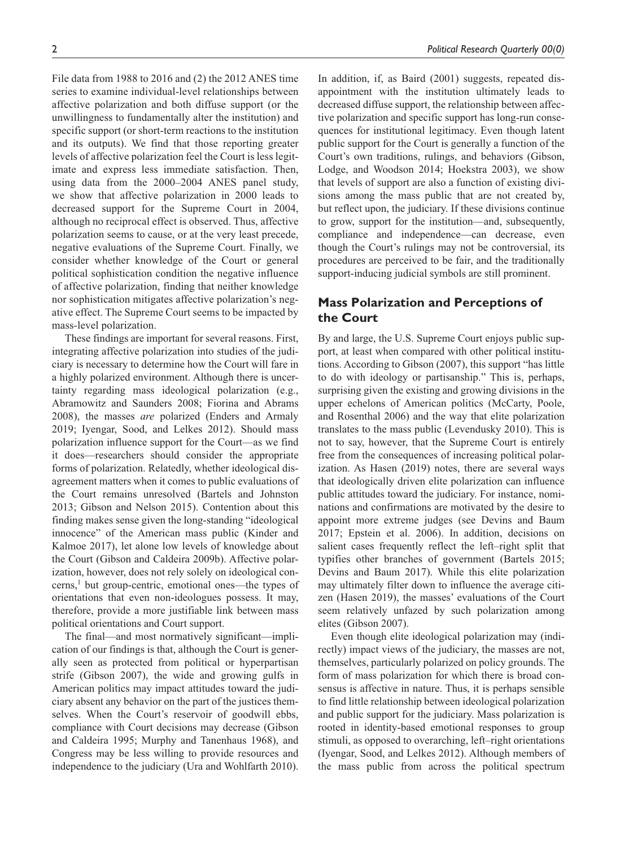File data from 1988 to 2016 and (2) the 2012 ANES time series to examine individual-level relationships between affective polarization and both diffuse support (or the unwillingness to fundamentally alter the institution) and specific support (or short-term reactions to the institution and its outputs). We find that those reporting greater levels of affective polarization feel the Court is less legitimate and express less immediate satisfaction. Then, using data from the 2000–2004 ANES panel study, we show that affective polarization in 2000 leads to decreased support for the Supreme Court in 2004, although no reciprocal effect is observed. Thus, affective polarization seems to cause, or at the very least precede, negative evaluations of the Supreme Court. Finally, we consider whether knowledge of the Court or general political sophistication condition the negative influence of affective polarization, finding that neither knowledge nor sophistication mitigates affective polarization's negative effect. The Supreme Court seems to be impacted by mass-level polarization.

These findings are important for several reasons. First, integrating affective polarization into studies of the judiciary is necessary to determine how the Court will fare in a highly polarized environment. Although there is uncertainty regarding mass ideological polarization (e.g., Abramowitz and Saunders 2008; Fiorina and Abrams 2008), the masses *are* polarized (Enders and Armaly 2019; Iyengar, Sood, and Lelkes 2012). Should mass polarization influence support for the Court—as we find it does—researchers should consider the appropriate forms of polarization. Relatedly, whether ideological disagreement matters when it comes to public evaluations of the Court remains unresolved (Bartels and Johnston 2013; Gibson and Nelson 2015). Contention about this finding makes sense given the long-standing "ideological innocence" of the American mass public (Kinder and Kalmoe 2017), let alone low levels of knowledge about the Court (Gibson and Caldeira 2009b). Affective polarization, however, does not rely solely on ideological concerns,<sup>1</sup> but group-centric, emotional ones—the types of orientations that even non-ideologues possess. It may, therefore, provide a more justifiable link between mass political orientations and Court support.

The final—and most normatively significant—implication of our findings is that, although the Court is generally seen as protected from political or hyperpartisan strife (Gibson 2007), the wide and growing gulfs in American politics may impact attitudes toward the judiciary absent any behavior on the part of the justices themselves. When the Court's reservoir of goodwill ebbs, compliance with Court decisions may decrease (Gibson and Caldeira 1995; Murphy and Tanenhaus 1968), and Congress may be less willing to provide resources and independence to the judiciary (Ura and Wohlfarth 2010).

In addition, if, as Baird (2001) suggests, repeated disappointment with the institution ultimately leads to decreased diffuse support, the relationship between affective polarization and specific support has long-run consequences for institutional legitimacy. Even though latent public support for the Court is generally a function of the Court's own traditions, rulings, and behaviors (Gibson, Lodge, and Woodson 2014; Hoekstra 2003), we show that levels of support are also a function of existing divisions among the mass public that are not created by, but reflect upon, the judiciary. If these divisions continue to grow, support for the institution—and, subsequently, compliance and independence—can decrease, even though the Court's rulings may not be controversial, its procedures are perceived to be fair, and the traditionally support-inducing judicial symbols are still prominent.

# **Mass Polarization and Perceptions of the Court**

By and large, the U.S. Supreme Court enjoys public support, at least when compared with other political institutions. According to Gibson (2007), this support "has little to do with ideology or partisanship." This is, perhaps, surprising given the existing and growing divisions in the upper echelons of American politics (McCarty, Poole, and Rosenthal 2006) and the way that elite polarization translates to the mass public (Levendusky 2010). This is not to say, however, that the Supreme Court is entirely free from the consequences of increasing political polarization. As Hasen (2019) notes, there are several ways that ideologically driven elite polarization can influence public attitudes toward the judiciary. For instance, nominations and confirmations are motivated by the desire to appoint more extreme judges (see Devins and Baum 2017; Epstein et al. 2006). In addition, decisions on salient cases frequently reflect the left–right split that typifies other branches of government (Bartels 2015; Devins and Baum 2017). While this elite polarization may ultimately filter down to influence the average citizen (Hasen 2019), the masses' evaluations of the Court seem relatively unfazed by such polarization among elites (Gibson 2007).

Even though elite ideological polarization may (indirectly) impact views of the judiciary, the masses are not, themselves, particularly polarized on policy grounds. The form of mass polarization for which there is broad consensus is affective in nature. Thus, it is perhaps sensible to find little relationship between ideological polarization and public support for the judiciary. Mass polarization is rooted in identity-based emotional responses to group stimuli, as opposed to overarching, left–right orientations (Iyengar, Sood, and Lelkes 2012). Although members of the mass public from across the political spectrum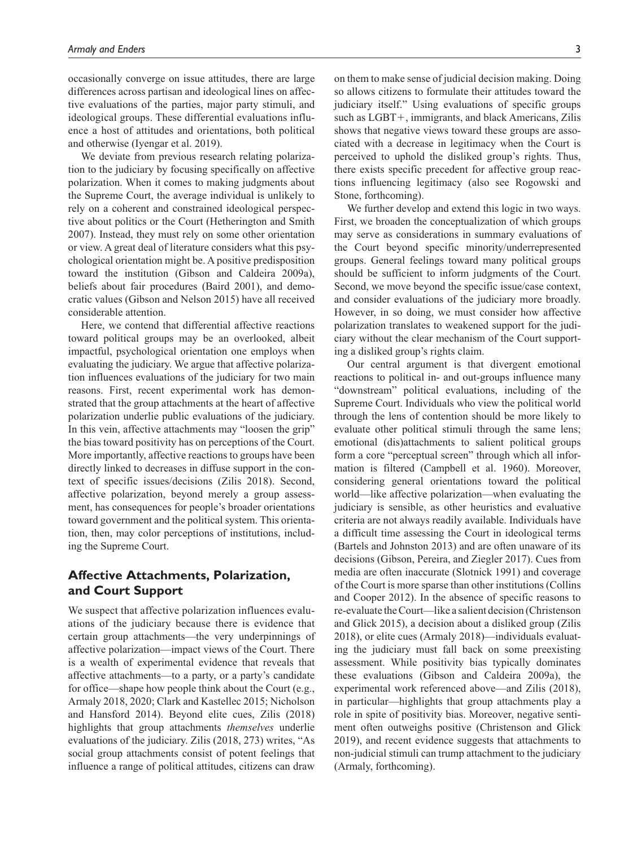occasionally converge on issue attitudes, there are large differences across partisan and ideological lines on affective evaluations of the parties, major party stimuli, and ideological groups. These differential evaluations influence a host of attitudes and orientations, both political and otherwise (Iyengar et al. 2019).

We deviate from previous research relating polarization to the judiciary by focusing specifically on affective polarization. When it comes to making judgments about the Supreme Court, the average individual is unlikely to rely on a coherent and constrained ideological perspective about politics or the Court (Hetherington and Smith 2007). Instead, they must rely on some other orientation or view. A great deal of literature considers what this psychological orientation might be. A positive predisposition toward the institution (Gibson and Caldeira 2009a), beliefs about fair procedures (Baird 2001), and democratic values (Gibson and Nelson 2015) have all received considerable attention.

Here, we contend that differential affective reactions toward political groups may be an overlooked, albeit impactful, psychological orientation one employs when evaluating the judiciary. We argue that affective polarization influences evaluations of the judiciary for two main reasons. First, recent experimental work has demonstrated that the group attachments at the heart of affective polarization underlie public evaluations of the judiciary. In this vein, affective attachments may "loosen the grip" the bias toward positivity has on perceptions of the Court. More importantly, affective reactions to groups have been directly linked to decreases in diffuse support in the context of specific issues/decisions (Zilis 2018). Second, affective polarization, beyond merely a group assessment, has consequences for people's broader orientations toward government and the political system. This orientation, then, may color perceptions of institutions, including the Supreme Court.

# **Affective Attachments, Polarization, and Court Support**

We suspect that affective polarization influences evaluations of the judiciary because there is evidence that certain group attachments—the very underpinnings of affective polarization—impact views of the Court. There is a wealth of experimental evidence that reveals that affective attachments—to a party, or a party's candidate for office—shape how people think about the Court (e.g., Armaly 2018, 2020; Clark and Kastellec 2015; Nicholson and Hansford 2014). Beyond elite cues, Zilis (2018) highlights that group attachments *themselves* underlie evaluations of the judiciary. Zilis (2018, 273) writes, "As social group attachments consist of potent feelings that influence a range of political attitudes, citizens can draw

on them to make sense of judicial decision making. Doing so allows citizens to formulate their attitudes toward the judiciary itself." Using evaluations of specific groups such as LGBT+, immigrants, and black Americans, Zilis shows that negative views toward these groups are associated with a decrease in legitimacy when the Court is perceived to uphold the disliked group's rights. Thus, there exists specific precedent for affective group reactions influencing legitimacy (also see Rogowski and Stone, forthcoming).

We further develop and extend this logic in two ways. First, we broaden the conceptualization of which groups may serve as considerations in summary evaluations of the Court beyond specific minority/underrepresented groups. General feelings toward many political groups should be sufficient to inform judgments of the Court. Second, we move beyond the specific issue/case context, and consider evaluations of the judiciary more broadly. However, in so doing, we must consider how affective polarization translates to weakened support for the judiciary without the clear mechanism of the Court supporting a disliked group's rights claim.

Our central argument is that divergent emotional reactions to political in- and out-groups influence many "downstream" political evaluations, including of the Supreme Court. Individuals who view the political world through the lens of contention should be more likely to evaluate other political stimuli through the same lens; emotional (dis)attachments to salient political groups form a core "perceptual screen" through which all information is filtered (Campbell et al. 1960). Moreover, considering general orientations toward the political world—like affective polarization—when evaluating the judiciary is sensible, as other heuristics and evaluative criteria are not always readily available. Individuals have a difficult time assessing the Court in ideological terms (Bartels and Johnston 2013) and are often unaware of its decisions (Gibson, Pereira, and Ziegler 2017). Cues from media are often inaccurate (Slotnick 1991) and coverage of the Court is more sparse than other institutions (Collins and Cooper 2012). In the absence of specific reasons to re-evaluate the Court—like a salient decision (Christenson and Glick 2015), a decision about a disliked group (Zilis 2018), or elite cues (Armaly 2018)—individuals evaluating the judiciary must fall back on some preexisting assessment. While positivity bias typically dominates these evaluations (Gibson and Caldeira 2009a), the experimental work referenced above—and Zilis (2018), in particular—highlights that group attachments play a role in spite of positivity bias. Moreover, negative sentiment often outweighs positive (Christenson and Glick 2019), and recent evidence suggests that attachments to non-judicial stimuli can trump attachment to the judiciary (Armaly, forthcoming).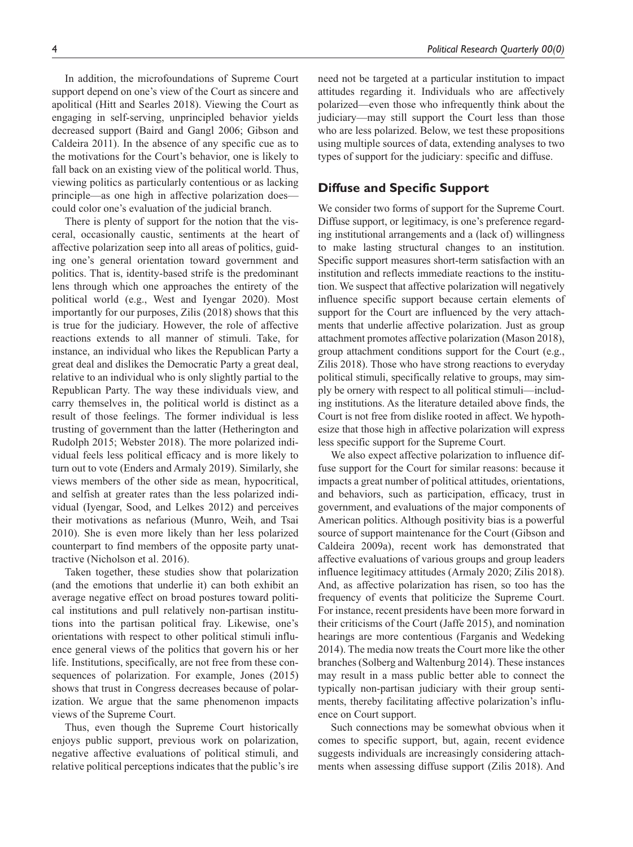In addition, the microfoundations of Supreme Court support depend on one's view of the Court as sincere and apolitical (Hitt and Searles 2018). Viewing the Court as engaging in self-serving, unprincipled behavior yields decreased support (Baird and Gangl 2006; Gibson and Caldeira 2011). In the absence of any specific cue as to the motivations for the Court's behavior, one is likely to fall back on an existing view of the political world. Thus, viewing politics as particularly contentious or as lacking principle—as one high in affective polarization does could color one's evaluation of the judicial branch.

There is plenty of support for the notion that the visceral, occasionally caustic, sentiments at the heart of affective polarization seep into all areas of politics, guiding one's general orientation toward government and politics. That is, identity-based strife is the predominant lens through which one approaches the entirety of the political world (e.g., West and Iyengar 2020). Most importantly for our purposes, Zilis (2018) shows that this is true for the judiciary. However, the role of affective reactions extends to all manner of stimuli. Take, for instance, an individual who likes the Republican Party a great deal and dislikes the Democratic Party a great deal, relative to an individual who is only slightly partial to the Republican Party. The way these individuals view, and carry themselves in, the political world is distinct as a result of those feelings. The former individual is less trusting of government than the latter (Hetherington and Rudolph 2015; Webster 2018). The more polarized individual feels less political efficacy and is more likely to turn out to vote (Enders and Armaly 2019). Similarly, she views members of the other side as mean, hypocritical, and selfish at greater rates than the less polarized individual (Iyengar, Sood, and Lelkes 2012) and perceives their motivations as nefarious (Munro, Weih, and Tsai 2010). She is even more likely than her less polarized counterpart to find members of the opposite party unattractive (Nicholson et al. 2016).

Taken together, these studies show that polarization (and the emotions that underlie it) can both exhibit an average negative effect on broad postures toward political institutions and pull relatively non-partisan institutions into the partisan political fray. Likewise, one's orientations with respect to other political stimuli influence general views of the politics that govern his or her life. Institutions, specifically, are not free from these consequences of polarization. For example, Jones (2015) shows that trust in Congress decreases because of polarization. We argue that the same phenomenon impacts views of the Supreme Court.

Thus, even though the Supreme Court historically enjoys public support, previous work on polarization, negative affective evaluations of political stimuli, and relative political perceptions indicates that the public's ire

need not be targeted at a particular institution to impact attitudes regarding it. Individuals who are affectively polarized—even those who infrequently think about the judiciary—may still support the Court less than those who are less polarized. Below, we test these propositions using multiple sources of data, extending analyses to two types of support for the judiciary: specific and diffuse.

## **Diffuse and Specific Support**

We consider two forms of support for the Supreme Court. Diffuse support, or legitimacy, is one's preference regarding institutional arrangements and a (lack of) willingness to make lasting structural changes to an institution. Specific support measures short-term satisfaction with an institution and reflects immediate reactions to the institution. We suspect that affective polarization will negatively influence specific support because certain elements of support for the Court are influenced by the very attachments that underlie affective polarization. Just as group attachment promotes affective polarization (Mason 2018), group attachment conditions support for the Court (e.g., Zilis 2018). Those who have strong reactions to everyday political stimuli, specifically relative to groups, may simply be ornery with respect to all political stimuli—including institutions. As the literature detailed above finds, the Court is not free from dislike rooted in affect. We hypothesize that those high in affective polarization will express less specific support for the Supreme Court.

We also expect affective polarization to influence diffuse support for the Court for similar reasons: because it impacts a great number of political attitudes, orientations, and behaviors, such as participation, efficacy, trust in government, and evaluations of the major components of American politics. Although positivity bias is a powerful source of support maintenance for the Court (Gibson and Caldeira 2009a), recent work has demonstrated that affective evaluations of various groups and group leaders influence legitimacy attitudes (Armaly 2020; Zilis 2018). And, as affective polarization has risen, so too has the frequency of events that politicize the Supreme Court. For instance, recent presidents have been more forward in their criticisms of the Court (Jaffe 2015), and nomination hearings are more contentious (Farganis and Wedeking 2014). The media now treats the Court more like the other branches (Solberg and Waltenburg 2014). These instances may result in a mass public better able to connect the typically non-partisan judiciary with their group sentiments, thereby facilitating affective polarization's influence on Court support.

Such connections may be somewhat obvious when it comes to specific support, but, again, recent evidence suggests individuals are increasingly considering attachments when assessing diffuse support (Zilis 2018). And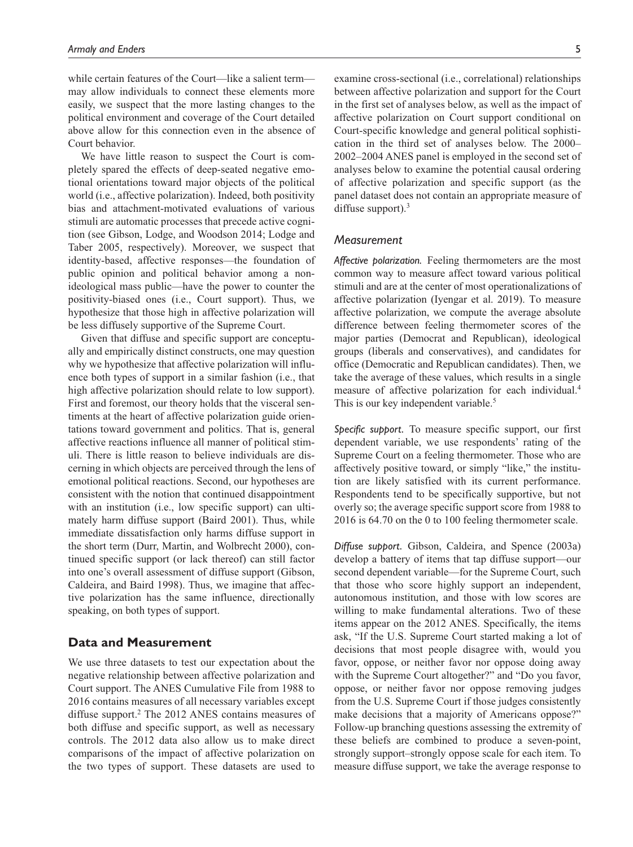while certain features of the Court—like a salient term may allow individuals to connect these elements more easily, we suspect that the more lasting changes to the political environment and coverage of the Court detailed above allow for this connection even in the absence of Court behavior.

We have little reason to suspect the Court is completely spared the effects of deep-seated negative emotional orientations toward major objects of the political world (i.e., affective polarization). Indeed, both positivity bias and attachment-motivated evaluations of various stimuli are automatic processes that precede active cognition (see Gibson, Lodge, and Woodson 2014; Lodge and Taber 2005, respectively). Moreover, we suspect that identity-based, affective responses—the foundation of public opinion and political behavior among a nonideological mass public—have the power to counter the positivity-biased ones (i.e., Court support). Thus, we hypothesize that those high in affective polarization will be less diffusely supportive of the Supreme Court.

Given that diffuse and specific support are conceptually and empirically distinct constructs, one may question why we hypothesize that affective polarization will influence both types of support in a similar fashion (i.e., that high affective polarization should relate to low support). First and foremost, our theory holds that the visceral sentiments at the heart of affective polarization guide orientations toward government and politics. That is, general affective reactions influence all manner of political stimuli. There is little reason to believe individuals are discerning in which objects are perceived through the lens of emotional political reactions. Second, our hypotheses are consistent with the notion that continued disappointment with an institution (i.e., low specific support) can ultimately harm diffuse support (Baird 2001). Thus, while immediate dissatisfaction only harms diffuse support in the short term (Durr, Martin, and Wolbrecht 2000), continued specific support (or lack thereof) can still factor into one's overall assessment of diffuse support (Gibson, Caldeira, and Baird 1998). Thus, we imagine that affective polarization has the same influence, directionally speaking, on both types of support.

## **Data and Measurement**

We use three datasets to test our expectation about the negative relationship between affective polarization and Court support. The ANES Cumulative File from 1988 to 2016 contains measures of all necessary variables except diffuse support.<sup>2</sup> The 2012 ANES contains measures of both diffuse and specific support, as well as necessary controls. The 2012 data also allow us to make direct comparisons of the impact of affective polarization on the two types of support. These datasets are used to

examine cross-sectional (i.e., correlational) relationships between affective polarization and support for the Court in the first set of analyses below, as well as the impact of affective polarization on Court support conditional on Court-specific knowledge and general political sophistication in the third set of analyses below. The 2000– 2002–2004 ANES panel is employed in the second set of analyses below to examine the potential causal ordering of affective polarization and specific support (as the panel dataset does not contain an appropriate measure of diffuse support). $3$ 

## *Measurement*

*Affective polarization.* Feeling thermometers are the most common way to measure affect toward various political stimuli and are at the center of most operationalizations of affective polarization (Iyengar et al. 2019). To measure affective polarization, we compute the average absolute difference between feeling thermometer scores of the major parties (Democrat and Republican), ideological groups (liberals and conservatives), and candidates for office (Democratic and Republican candidates). Then, we take the average of these values, which results in a single measure of affective polarization for each individual.4 This is our key independent variable.<sup>5</sup>

*Specific support.* To measure specific support, our first dependent variable, we use respondents' rating of the Supreme Court on a feeling thermometer. Those who are affectively positive toward, or simply "like," the institution are likely satisfied with its current performance. Respondents tend to be specifically supportive, but not overly so; the average specific support score from 1988 to 2016 is 64.70 on the 0 to 100 feeling thermometer scale.

*Diffuse support.* Gibson, Caldeira, and Spence (2003a) develop a battery of items that tap diffuse support—our second dependent variable—for the Supreme Court, such that those who score highly support an independent, autonomous institution, and those with low scores are willing to make fundamental alterations. Two of these items appear on the 2012 ANES. Specifically, the items ask, "If the U.S. Supreme Court started making a lot of decisions that most people disagree with, would you favor, oppose, or neither favor nor oppose doing away with the Supreme Court altogether?" and "Do you favor, oppose, or neither favor nor oppose removing judges from the U.S. Supreme Court if those judges consistently make decisions that a majority of Americans oppose?" Follow-up branching questions assessing the extremity of these beliefs are combined to produce a seven-point, strongly support–strongly oppose scale for each item. To measure diffuse support, we take the average response to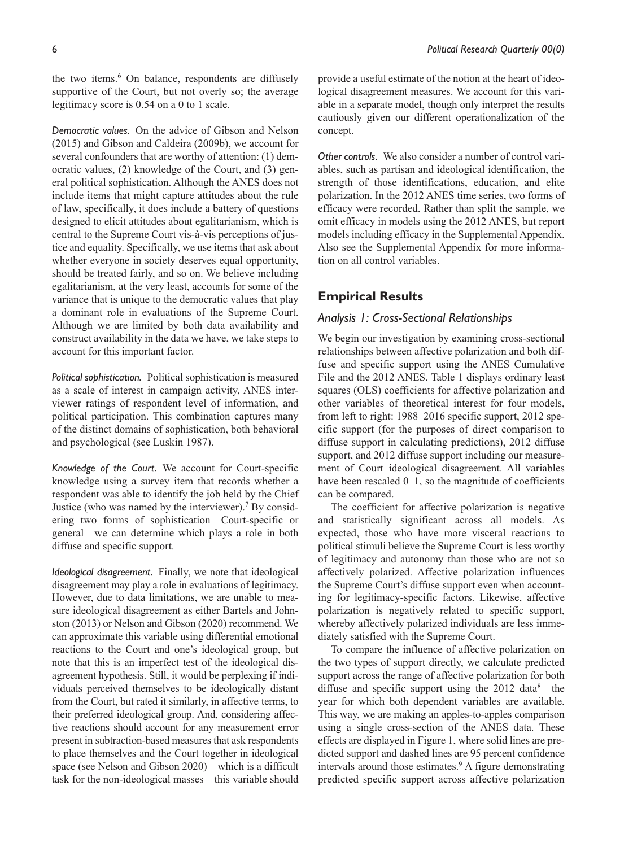*Democratic values.* On the advice of Gibson and Nelson (2015) and Gibson and Caldeira (2009b), we account for several confounders that are worthy of attention: (1) democratic values, (2) knowledge of the Court, and (3) general political sophistication. Although the ANES does not include items that might capture attitudes about the rule of law, specifically, it does include a battery of questions designed to elicit attitudes about egalitarianism, which is central to the Supreme Court vis-à-vis perceptions of justice and equality. Specifically, we use items that ask about whether everyone in society deserves equal opportunity, should be treated fairly, and so on. We believe including egalitarianism, at the very least, accounts for some of the variance that is unique to the democratic values that play a dominant role in evaluations of the Supreme Court. Although we are limited by both data availability and construct availability in the data we have, we take steps to account for this important factor.

supportive of the Court, but not overly so; the average

legitimacy score is 0.54 on a 0 to 1 scale.

*Political sophistication.* Political sophistication is measured as a scale of interest in campaign activity, ANES interviewer ratings of respondent level of information, and political participation. This combination captures many of the distinct domains of sophistication, both behavioral and psychological (see Luskin 1987).

*Knowledge of the Court.* We account for Court-specific knowledge using a survey item that records whether a respondent was able to identify the job held by the Chief Justice (who was named by the interviewer).<sup>7</sup> By considering two forms of sophistication—Court-specific or general—we can determine which plays a role in both diffuse and specific support.

*Ideological disagreement.* Finally, we note that ideological disagreement may play a role in evaluations of legitimacy. However, due to data limitations, we are unable to measure ideological disagreement as either Bartels and Johnston (2013) or Nelson and Gibson (2020) recommend. We can approximate this variable using differential emotional reactions to the Court and one's ideological group, but note that this is an imperfect test of the ideological disagreement hypothesis. Still, it would be perplexing if individuals perceived themselves to be ideologically distant from the Court, but rated it similarly, in affective terms, to their preferred ideological group. And, considering affective reactions should account for any measurement error present in subtraction-based measures that ask respondents to place themselves and the Court together in ideological space (see Nelson and Gibson 2020)—which is a difficult task for the non-ideological masses—this variable should provide a useful estimate of the notion at the heart of ideological disagreement measures. We account for this variable in a separate model, though only interpret the results cautiously given our different operationalization of the concept.

*Other controls.* We also consider a number of control variables, such as partisan and ideological identification, the strength of those identifications, education, and elite polarization. In the 2012 ANES time series, two forms of efficacy were recorded. Rather than split the sample, we omit efficacy in models using the 2012 ANES, but report models including efficacy in the Supplemental Appendix. Also see the Supplemental Appendix for more information on all control variables.

## **Empirical Results**

### *Analysis 1: Cross-Sectional Relationships*

We begin our investigation by examining cross-sectional relationships between affective polarization and both diffuse and specific support using the ANES Cumulative File and the 2012 ANES. Table 1 displays ordinary least squares (OLS) coefficients for affective polarization and other variables of theoretical interest for four models, from left to right: 1988–2016 specific support, 2012 specific support (for the purposes of direct comparison to diffuse support in calculating predictions), 2012 diffuse support, and 2012 diffuse support including our measurement of Court–ideological disagreement. All variables have been rescaled 0–1, so the magnitude of coefficients can be compared.

The coefficient for affective polarization is negative and statistically significant across all models. As expected, those who have more visceral reactions to political stimuli believe the Supreme Court is less worthy of legitimacy and autonomy than those who are not so affectively polarized. Affective polarization influences the Supreme Court's diffuse support even when accounting for legitimacy-specific factors. Likewise, affective polarization is negatively related to specific support, whereby affectively polarized individuals are less immediately satisfied with the Supreme Court.

To compare the influence of affective polarization on the two types of support directly, we calculate predicted support across the range of affective polarization for both diffuse and specific support using the 2012 data<sup>8</sup>—the year for which both dependent variables are available. This way, we are making an apples-to-apples comparison using a single cross-section of the ANES data. These effects are displayed in Figure 1, where solid lines are predicted support and dashed lines are 95 percent confidence intervals around those estimates.<sup>9</sup> A figure demonstrating predicted specific support across affective polarization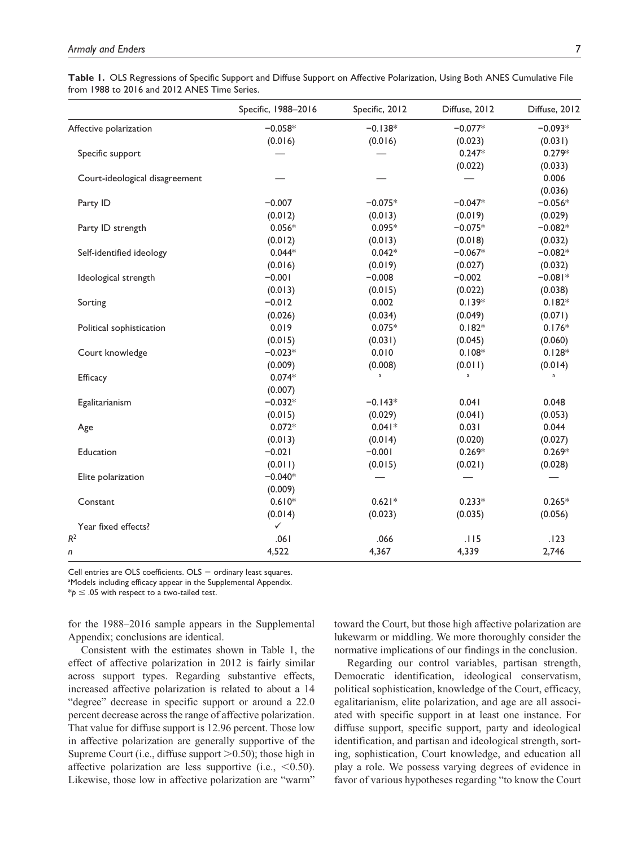|  | Table 1. OLS Regressions of Specific Support and Diffuse Support on Affective Polarization, Using Both ANES Cumulative File |  |  |  |
|--|-----------------------------------------------------------------------------------------------------------------------------|--|--|--|
|  | from 1988 to 2016 and 2012 ANES Time Series.                                                                                |  |  |  |

|                                | Specific, 1988-2016 | Specific, 2012 | Diffuse, 2012 | Diffuse, 2012 |
|--------------------------------|---------------------|----------------|---------------|---------------|
| Affective polarization         | $-0.058*$           | $-0.138*$      | $-0.077*$     | $-0.093*$     |
|                                | (0.016)             | (0.016)        | (0.023)       | (0.031)       |
| Specific support               |                     |                | $0.247*$      | $0.279*$      |
|                                |                     |                | (0.022)       | (0.033)       |
| Court-ideological disagreement |                     |                |               | 0.006         |
|                                |                     |                |               | (0.036)       |
| Party ID                       | $-0.007$            | $-0.075*$      | $-0.047*$     | $-0.056*$     |
|                                | (0.012)             | (0.013)        | (0.019)       | (0.029)       |
| Party ID strength              | $0.056*$            | $0.095*$       | $-0.075*$     | $-0.082*$     |
|                                | (0.012)             | (0.013)        | (0.018)       | (0.032)       |
| Self-identified ideology       | $0.044*$            | $0.042*$       | $-0.067*$     | $-0.082*$     |
|                                | (0.016)             | (0.019)        | (0.027)       | (0.032)       |
| Ideological strength           | $-0.001$            | $-0.008$       | $-0.002$      | $-0.081*$     |
|                                | (0.013)             | (0.015)        | (0.022)       | (0.038)       |
| Sorting                        | $-0.012$            | 0.002          | $0.139*$      | $0.182*$      |
|                                | (0.026)             | (0.034)        | (0.049)       | (0.071)       |
| Political sophistication       | 0.019               | $0.075*$       | $0.182*$      | $0.176*$      |
|                                | (0.015)             | (0.031)        | (0.045)       | (0.060)       |
| Court knowledge                | $-0.023*$           | 0.010          | $0.108*$      | $0.128*$      |
|                                | (0.009)             | (0.008)        | (0.011)       | (0.014)       |
| Efficacy                       | $0.074*$            | $\mathsf a$    | $\mathsf a$   | a             |
|                                | (0.007)             |                |               |               |
| Egalitarianism                 | $-0.032*$           | $-0.143*$      | 0.041         | 0.048         |
|                                | (0.015)             | (0.029)        | (0.041)       | (0.053)       |
| Age                            | $0.072*$            | $0.041*$       | 0.031         | 0.044         |
|                                | (0.013)             | (0.014)        | (0.020)       | (0.027)       |
| Education                      | $-0.021$            | $-0.001$       | $0.269*$      | $0.269*$      |
|                                | (0.011)             | (0.015)        | (0.021)       | (0.028)       |
| Elite polarization             | $-0.040*$           |                |               |               |
|                                | (0.009)             |                |               |               |
| Constant                       | $0.610*$            | $0.621*$       | $0.233*$      | $0.265*$      |
|                                | (0.014)             | (0.023)        | (0.035)       | (0.056)       |
| Year fixed effects?            | $\checkmark$        |                |               |               |
| $R^2$                          | .061                | .066           | .115          | .123          |
| n                              | 4,522               | 4,367          | 4,339         | 2,746         |

Cell entries are OLS coefficients.  $OLS =$  ordinary least squares.

aModels including efficacy appear in the Supplemental Appendix.

 $*$ *p*  $\le$  .05 with respect to a two-tailed test.

for the 1988–2016 sample appears in the Supplemental Appendix; conclusions are identical.

Consistent with the estimates shown in Table 1, the effect of affective polarization in 2012 is fairly similar across support types. Regarding substantive effects, increased affective polarization is related to about a 14 "degree" decrease in specific support or around a 22.0 percent decrease across the range of affective polarization. That value for diffuse support is 12.96 percent. Those low in affective polarization are generally supportive of the Supreme Court (i.e., diffuse support  $>0.50$ ); those high in affective polarization are less supportive (i.e.,  $\leq 0.50$ ). Likewise, those low in affective polarization are "warm"

toward the Court, but those high affective polarization are lukewarm or middling. We more thoroughly consider the normative implications of our findings in the conclusion.

Regarding our control variables, partisan strength, Democratic identification, ideological conservatism, political sophistication, knowledge of the Court, efficacy, egalitarianism, elite polarization, and age are all associated with specific support in at least one instance. For diffuse support, specific support, party and ideological identification, and partisan and ideological strength, sorting, sophistication, Court knowledge, and education all play a role. We possess varying degrees of evidence in favor of various hypotheses regarding "to know the Court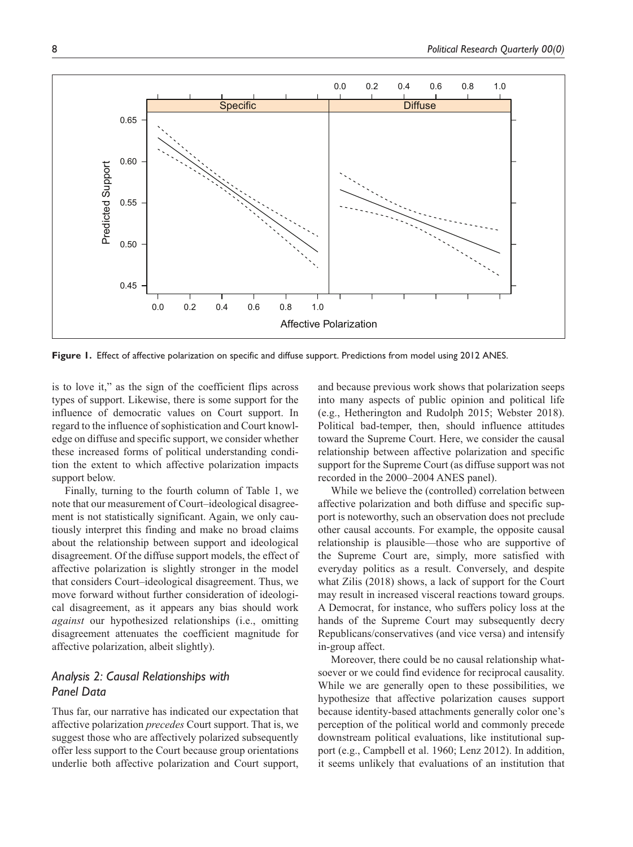

**Figure 1.** Effect of affective polarization on specific and diffuse support. Predictions from model using 2012 ANES.

is to love it," as the sign of the coefficient flips across types of support. Likewise, there is some support for the influence of democratic values on Court support. In regard to the influence of sophistication and Court knowledge on diffuse and specific support, we consider whether these increased forms of political understanding condition the extent to which affective polarization impacts support below.

Finally, turning to the fourth column of Table 1, we note that our measurement of Court–ideological disagreement is not statistically significant. Again, we only cautiously interpret this finding and make no broad claims about the relationship between support and ideological disagreement. Of the diffuse support models, the effect of affective polarization is slightly stronger in the model that considers Court–ideological disagreement. Thus, we move forward without further consideration of ideological disagreement, as it appears any bias should work *against* our hypothesized relationships (i.e., omitting disagreement attenuates the coefficient magnitude for affective polarization, albeit slightly).

## *Analysis 2: Causal Relationships with Panel Data*

Thus far, our narrative has indicated our expectation that affective polarization *precedes* Court support. That is, we suggest those who are affectively polarized subsequently offer less support to the Court because group orientations underlie both affective polarization and Court support,

and because previous work shows that polarization seeps into many aspects of public opinion and political life (e.g., Hetherington and Rudolph 2015; Webster 2018). Political bad-temper, then, should influence attitudes toward the Supreme Court. Here, we consider the causal relationship between affective polarization and specific support for the Supreme Court (as diffuse support was not recorded in the 2000–2004 ANES panel).

While we believe the (controlled) correlation between affective polarization and both diffuse and specific support is noteworthy, such an observation does not preclude other causal accounts. For example, the opposite causal relationship is plausible—those who are supportive of the Supreme Court are, simply, more satisfied with everyday politics as a result. Conversely, and despite what Zilis (2018) shows, a lack of support for the Court may result in increased visceral reactions toward groups. A Democrat, for instance, who suffers policy loss at the hands of the Supreme Court may subsequently decry Republicans/conservatives (and vice versa) and intensify in-group affect.

Moreover, there could be no causal relationship whatsoever or we could find evidence for reciprocal causality. While we are generally open to these possibilities, we hypothesize that affective polarization causes support because identity-based attachments generally color one's perception of the political world and commonly precede downstream political evaluations, like institutional support (e.g., Campbell et al. 1960; Lenz 2012). In addition, it seems unlikely that evaluations of an institution that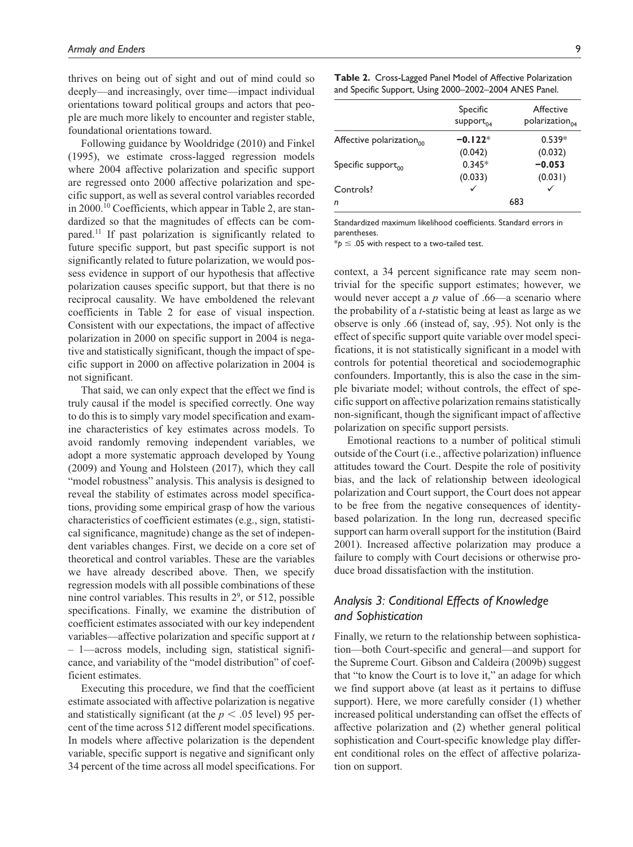thrives on being out of sight and out of mind could so deeply—and increasingly, over time—impact individual orientations toward political groups and actors that people are much more likely to encounter and register stable, foundational orientations toward.

Following guidance by Wooldridge (2010) and Finkel (1995), we estimate cross-lagged regression models where 2004 affective polarization and specific support are regressed onto 2000 affective polarization and specific support, as well as several control variables recorded in 2000.<sup>10</sup> Coefficients, which appear in Table 2, are standardized so that the magnitudes of effects can be compared.11 If past polarization is significantly related to future specific support, but past specific support is not significantly related to future polarization, we would possess evidence in support of our hypothesis that affective polarization causes specific support, but that there is no reciprocal causality. We have emboldened the relevant coefficients in Table 2 for ease of visual inspection. Consistent with our expectations, the impact of affective polarization in 2000 on specific support in 2004 is negative and statistically significant, though the impact of specific support in 2000 on affective polarization in 2004 is not significant.

That said, we can only expect that the effect we find is truly causal if the model is specified correctly. One way to do this is to simply vary model specification and examine characteristics of key estimates across models. To avoid randomly removing independent variables, we adopt a more systematic approach developed by Young (2009) and Young and Holsteen (2017), which they call "model robustness" analysis. This analysis is designed to reveal the stability of estimates across model specifications, providing some empirical grasp of how the various characteristics of coefficient estimates (e.g., sign, statistical significance, magnitude) change as the set of independent variables changes. First, we decide on a core set of theoretical and control variables. These are the variables we have already described above. Then, we specify regression models with all possible combinations of these nine control variables. This results in  $2<sup>9</sup>$ , or 512, possible specifications. Finally, we examine the distribution of coefficient estimates associated with our key independent variables—affective polarization and specific support at *t* – 1—across models, including sign, statistical significance, and variability of the "model distribution" of coefficient estimates.

Executing this procedure, we find that the coefficient estimate associated with affective polarization is negative and statistically significant (at the  $p < .05$  level) 95 percent of the time across 512 different model specifications. In models where affective polarization is the dependent variable, specific support is negative and significant only 34 percent of the time across all model specifications. For

| Table 2. Cross-Lagged Panel Model of Affective Polarization |
|-------------------------------------------------------------|
| and Specific Support, Using 2000–2002–2004 ANES Panel.      |

|                                | Specific<br>support $_{0.4}$ | Affective<br>polarization $_{0.4}$ |
|--------------------------------|------------------------------|------------------------------------|
| Affective polarization $_{00}$ | $-0.122*$                    | $0.539*$                           |
|                                | (0.042)                      | (0.032)                            |
| Specific support $_{00}$       | $0.345*$                     | $-0.053$                           |
|                                | (0.033)                      | (0.031)                            |
| Controls?                      |                              |                                    |
| n                              |                              | 683                                |

Standardized maximum likelihood coefficients. Standard errors in parentheses.

 $*$ *p*  $\le$  .05 with respect to a two-tailed test.

context, a 34 percent significance rate may seem nontrivial for the specific support estimates; however, we would never accept a *p* value of .66—a scenario where the probability of a *t*-statistic being at least as large as we observe is only .66 (instead of, say, .95). Not only is the effect of specific support quite variable over model specifications, it is not statistically significant in a model with controls for potential theoretical and sociodemographic confounders. Importantly, this is also the case in the simple bivariate model; without controls, the effect of specific support on affective polarization remains statistically non-significant, though the significant impact of affective polarization on specific support persists.

Emotional reactions to a number of political stimuli outside of the Court (i.e., affective polarization) influence attitudes toward the Court. Despite the role of positivity bias, and the lack of relationship between ideological polarization and Court support, the Court does not appear to be free from the negative consequences of identitybased polarization. In the long run, decreased specific support can harm overall support for the institution (Baird 2001). Increased affective polarization may produce a failure to comply with Court decisions or otherwise produce broad dissatisfaction with the institution.

# *Analysis 3: Conditional Effects of Knowledge and Sophistication*

Finally, we return to the relationship between sophistication—both Court-specific and general—and support for the Supreme Court. Gibson and Caldeira (2009b) suggest that "to know the Court is to love it," an adage for which we find support above (at least as it pertains to diffuse support). Here, we more carefully consider (1) whether increased political understanding can offset the effects of affective polarization and (2) whether general political sophistication and Court-specific knowledge play different conditional roles on the effect of affective polarization on support.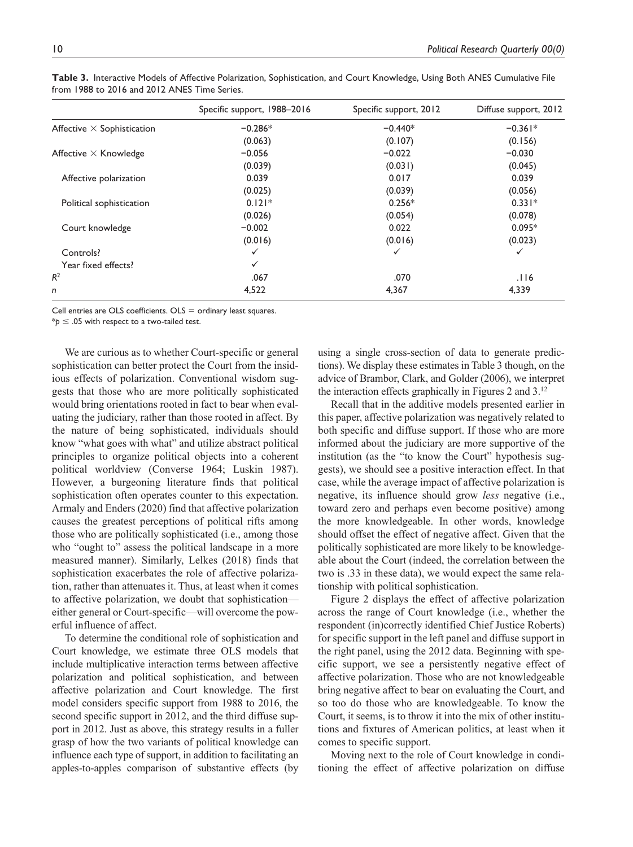|                                   | Specific support, 1988-2016 | Specific support, 2012 | Diffuse support, 2012 |
|-----------------------------------|-----------------------------|------------------------|-----------------------|
| Affective $\times$ Sophistication | $-0.286*$                   | $-0.440*$              | $-0.361*$             |
|                                   | (0.063)                     | (0.107)                | (0.156)               |
| Affective $\times$ Knowledge      | $-0.056$                    | $-0.022$               | $-0.030$              |
|                                   | (0.039)                     | (0.031)                | (0.045)               |
| Affective polarization            | 0.039                       | 0.017                  | 0.039                 |
|                                   | (0.025)                     | (0.039)                | (0.056)               |
| Political sophistication          | $0.121*$                    | $0.256*$               | $0.331*$              |
|                                   | (0.026)                     | (0.054)                | (0.078)               |
| Court knowledge                   | $-0.002$                    | 0.022                  | $0.095*$              |
|                                   | (0.016)                     | (0.016)                | (0.023)               |
| Controls?                         | ✓                           | $\checkmark$           | ✓                     |
| Year fixed effects?               | $\checkmark$                |                        |                       |
| $R^2$                             | .067                        | .070                   | .116                  |
| n                                 | 4,522                       | 4,367                  | 4,339                 |

**Table 3.** Interactive Models of Affective Polarization, Sophistication, and Court Knowledge, Using Both ANES Cumulative File from 1988 to 2016 and 2012 ANES Time Series.

Cell entries are OLS coefficients.  $OLS =$  ordinary least squares.

 $*_{p}$   $\leq$  .05 with respect to a two-tailed test.

We are curious as to whether Court-specific or general sophistication can better protect the Court from the insidious effects of polarization. Conventional wisdom suggests that those who are more politically sophisticated would bring orientations rooted in fact to bear when evaluating the judiciary, rather than those rooted in affect. By the nature of being sophisticated, individuals should know "what goes with what" and utilize abstract political principles to organize political objects into a coherent political worldview (Converse 1964; Luskin 1987). However, a burgeoning literature finds that political sophistication often operates counter to this expectation. Armaly and Enders (2020) find that affective polarization causes the greatest perceptions of political rifts among those who are politically sophisticated (i.e., among those who "ought to" assess the political landscape in a more measured manner). Similarly, Lelkes (2018) finds that sophistication exacerbates the role of affective polarization, rather than attenuates it. Thus, at least when it comes to affective polarization, we doubt that sophistication either general or Court-specific—will overcome the powerful influence of affect.

To determine the conditional role of sophistication and Court knowledge, we estimate three OLS models that include multiplicative interaction terms between affective polarization and political sophistication, and between affective polarization and Court knowledge. The first model considers specific support from 1988 to 2016, the second specific support in 2012, and the third diffuse support in 2012. Just as above, this strategy results in a fuller grasp of how the two variants of political knowledge can influence each type of support, in addition to facilitating an apples-to-apples comparison of substantive effects (by using a single cross-section of data to generate predictions). We display these estimates in Table 3 though, on the advice of Brambor, Clark, and Golder (2006), we interpret the interaction effects graphically in Figures 2 and 3.12

Recall that in the additive models presented earlier in this paper, affective polarization was negatively related to both specific and diffuse support. If those who are more informed about the judiciary are more supportive of the institution (as the "to know the Court" hypothesis suggests), we should see a positive interaction effect. In that case, while the average impact of affective polarization is negative, its influence should grow *less* negative (i.e., toward zero and perhaps even become positive) among the more knowledgeable. In other words, knowledge should offset the effect of negative affect. Given that the politically sophisticated are more likely to be knowledgeable about the Court (indeed, the correlation between the two is .33 in these data), we would expect the same relationship with political sophistication.

Figure 2 displays the effect of affective polarization across the range of Court knowledge (i.e., whether the respondent (in)correctly identified Chief Justice Roberts) for specific support in the left panel and diffuse support in the right panel, using the 2012 data. Beginning with specific support, we see a persistently negative effect of affective polarization. Those who are not knowledgeable bring negative affect to bear on evaluating the Court, and so too do those who are knowledgeable. To know the Court, it seems, is to throw it into the mix of other institutions and fixtures of American politics, at least when it comes to specific support.

Moving next to the role of Court knowledge in conditioning the effect of affective polarization on diffuse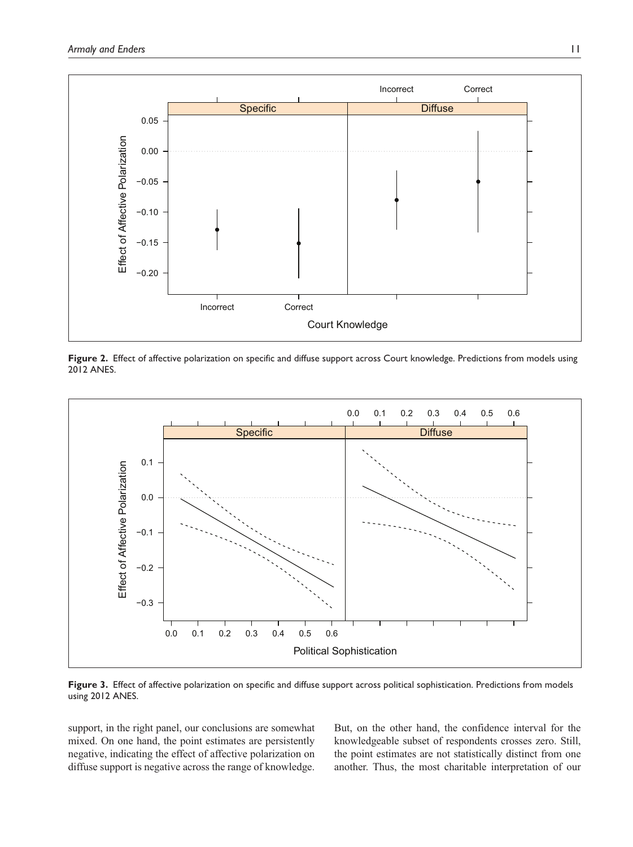

**Figure 2.** Effect of affective polarization on specific and diffuse support across Court knowledge. Predictions from models using 2012 ANES.



**Figure 3.** Effect of affective polarization on specific and diffuse support across political sophistication. Predictions from models using 2012 ANES.

support, in the right panel, our conclusions are somewhat mixed. On one hand, the point estimates are persistently negative, indicating the effect of affective polarization on diffuse support is negative across the range of knowledge.

But, on the other hand, the confidence interval for the knowledgeable subset of respondents crosses zero. Still, the point estimates are not statistically distinct from one another. Thus, the most charitable interpretation of our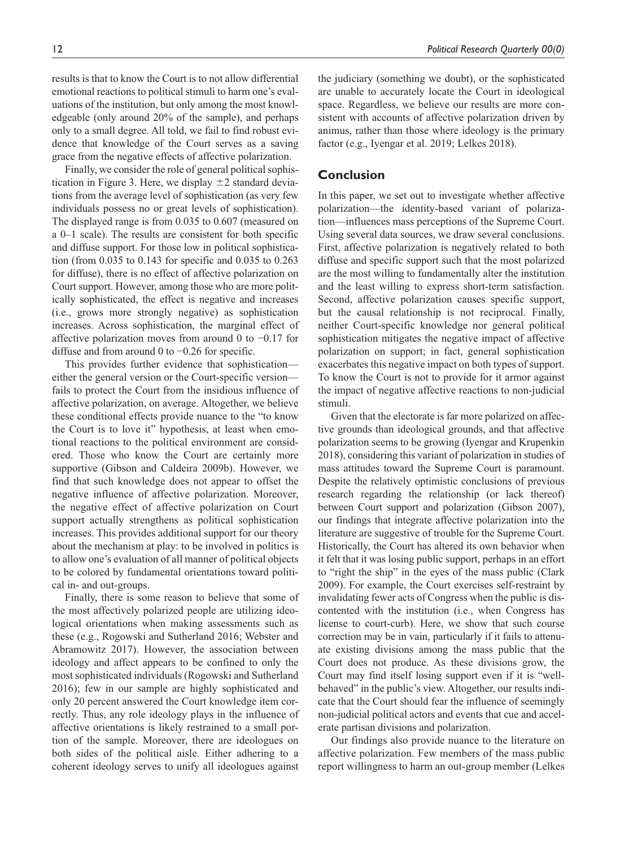results is that to know the Court is to not allow differential emotional reactions to political stimuli to harm one's evaluations of the institution, but only among the most knowledgeable (only around 20% of the sample), and perhaps only to a small degree. All told, we fail to find robust evidence that knowledge of the Court serves as a saving grace from the negative effects of affective polarization.

Finally, we consider the role of general political sophistication in Figure 3. Here, we display  $\pm 2$  standard deviations from the average level of sophistication (as very few individuals possess no or great levels of sophistication). The displayed range is from 0.035 to 0.607 (measured on a 0–1 scale). The results are consistent for both specific and diffuse support. For those low in political sophistication (from 0.035 to 0.143 for specific and 0.035 to 0.263 for diffuse), there is no effect of affective polarization on Court support. However, among those who are more politically sophisticated, the effect is negative and increases (i.e., grows more strongly negative) as sophistication increases. Across sophistication, the marginal effect of affective polarization moves from around 0 to −0.17 for diffuse and from around 0 to −0.26 for specific.

This provides further evidence that sophistication either the general version or the Court-specific version fails to protect the Court from the insidious influence of affective polarization, on average. Altogether, we believe these conditional effects provide nuance to the "to know the Court is to love it" hypothesis, at least when emotional reactions to the political environment are considered. Those who know the Court are certainly more supportive (Gibson and Caldeira 2009b). However, we find that such knowledge does not appear to offset the negative influence of affective polarization. Moreover, the negative effect of affective polarization on Court support actually strengthens as political sophistication increases. This provides additional support for our theory about the mechanism at play: to be involved in politics is to allow one's evaluation of all manner of political objects to be colored by fundamental orientations toward political in- and out-groups.

Finally, there is some reason to believe that some of the most affectively polarized people are utilizing ideological orientations when making assessments such as these (e.g., Rogowski and Sutherland 2016; Webster and Abramowitz 2017). However, the association between ideology and affect appears to be confined to only the most sophisticated individuals (Rogowski and Sutherland 2016); few in our sample are highly sophisticated and only 20 percent answered the Court knowledge item correctly. Thus, any role ideology plays in the influence of affective orientations is likely restrained to a small portion of the sample. Moreover, there are ideologues on both sides of the political aisle. Either adhering to a coherent ideology serves to unify all ideologues against the judiciary (something we doubt), or the sophisticated are unable to accurately locate the Court in ideological space. Regardless, we believe our results are more consistent with accounts of affective polarization driven by animus, rather than those where ideology is the primary factor (e.g., Iyengar et al. 2019; Lelkes 2018).

## **Conclusion**

In this paper, we set out to investigate whether affective polarization—the identity-based variant of polarization—influences mass perceptions of the Supreme Court. Using several data sources, we draw several conclusions. First, affective polarization is negatively related to both diffuse and specific support such that the most polarized are the most willing to fundamentally alter the institution and the least willing to express short-term satisfaction. Second, affective polarization causes specific support, but the causal relationship is not reciprocal. Finally, neither Court-specific knowledge nor general political sophistication mitigates the negative impact of affective polarization on support; in fact, general sophistication exacerbates this negative impact on both types of support. To know the Court is not to provide for it armor against the impact of negative affective reactions to non-judicial stimuli.

Given that the electorate is far more polarized on affective grounds than ideological grounds, and that affective polarization seems to be growing (Iyengar and Krupenkin 2018), considering this variant of polarization in studies of mass attitudes toward the Supreme Court is paramount. Despite the relatively optimistic conclusions of previous research regarding the relationship (or lack thereof) between Court support and polarization (Gibson 2007), our findings that integrate affective polarization into the literature are suggestive of trouble for the Supreme Court. Historically, the Court has altered its own behavior when it felt that it was losing public support, perhaps in an effort to "right the ship" in the eyes of the mass public (Clark 2009). For example, the Court exercises self-restraint by invalidating fewer acts of Congress when the public is discontented with the institution (i.e., when Congress has license to court-curb). Here, we show that such course correction may be in vain, particularly if it fails to attenuate existing divisions among the mass public that the Court does not produce. As these divisions grow, the Court may find itself losing support even if it is "wellbehaved" in the public's view. Altogether, our results indicate that the Court should fear the influence of seemingly non-judicial political actors and events that cue and accelerate partisan divisions and polarization.

Our findings also provide nuance to the literature on affective polarization. Few members of the mass public report willingness to harm an out-group member (Lelkes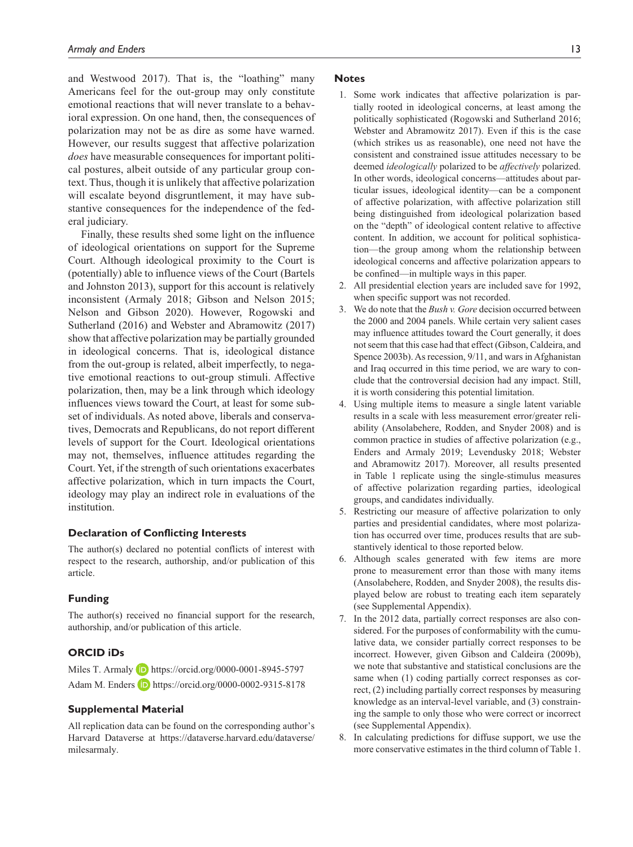and Westwood 2017). That is, the "loathing" many Americans feel for the out-group may only constitute emotional reactions that will never translate to a behavioral expression. On one hand, then, the consequences of polarization may not be as dire as some have warned. However, our results suggest that affective polarization *does* have measurable consequences for important political postures, albeit outside of any particular group context. Thus, though it is unlikely that affective polarization will escalate beyond disgruntlement, it may have substantive consequences for the independence of the federal judiciary.

Finally, these results shed some light on the influence of ideological orientations on support for the Supreme Court. Although ideological proximity to the Court is (potentially) able to influence views of the Court (Bartels and Johnston 2013), support for this account is relatively inconsistent (Armaly 2018; Gibson and Nelson 2015; Nelson and Gibson 2020). However, Rogowski and Sutherland (2016) and Webster and Abramowitz (2017) show that affective polarization may be partially grounded in ideological concerns. That is, ideological distance from the out-group is related, albeit imperfectly, to negative emotional reactions to out-group stimuli. Affective polarization, then, may be a link through which ideology influences views toward the Court, at least for some subset of individuals. As noted above, liberals and conservatives, Democrats and Republicans, do not report different levels of support for the Court. Ideological orientations may not, themselves, influence attitudes regarding the Court. Yet, if the strength of such orientations exacerbates affective polarization, which in turn impacts the Court, ideology may play an indirect role in evaluations of the institution.

#### **Declaration of Conflicting Interests**

The author(s) declared no potential conflicts of interest with respect to the research, authorship, and/or publication of this article.

#### **Funding**

The author(s) received no financial support for the research, authorship, and/or publication of this article.

## **ORCID iDs**

Miles T. Armaly **D** <https://orcid.org/0000-0001-8945-5797> Adam M. Enders **iD** <https://orcid.org/0000-0002-9315-8178>

#### **Supplemental Material**

All replication data can be found on the corresponding author's Harvard Dataverse at [https://dataverse.harvard.edu/dataverse/](https://dataverse.harvard.edu/dataverse/milesarmaly) [milesarmaly](https://dataverse.harvard.edu/dataverse/milesarmaly).

#### **Notes**

- 1. Some work indicates that affective polarization is partially rooted in ideological concerns, at least among the politically sophisticated (Rogowski and Sutherland 2016; Webster and Abramowitz 2017). Even if this is the case (which strikes us as reasonable), one need not have the consistent and constrained issue attitudes necessary to be deemed *ideologically* polarized to be *affectively* polarized. In other words, ideological concerns—attitudes about particular issues, ideological identity—can be a component of affective polarization, with affective polarization still being distinguished from ideological polarization based on the "depth" of ideological content relative to affective content. In addition, we account for political sophistication—the group among whom the relationship between ideological concerns and affective polarization appears to be confined—in multiple ways in this paper.
- 2. All presidential election years are included save for 1992, when specific support was not recorded.
- 3. We do note that the *Bush v. Gore* decision occurred between the 2000 and 2004 panels. While certain very salient cases may influence attitudes toward the Court generally, it does not seem that this case had that effect (Gibson, Caldeira, and Spence 2003b). As recession, 9/11, and wars in Afghanistan and Iraq occurred in this time period, we are wary to conclude that the controversial decision had any impact. Still, it is worth considering this potential limitation.
- 4. Using multiple items to measure a single latent variable results in a scale with less measurement error/greater reliability (Ansolabehere, Rodden, and Snyder 2008) and is common practice in studies of affective polarization (e.g., Enders and Armaly 2019; Levendusky 2018; Webster and Abramowitz 2017). Moreover, all results presented in Table 1 replicate using the single-stimulus measures of affective polarization regarding parties, ideological groups, and candidates individually.
- 5. Restricting our measure of affective polarization to only parties and presidential candidates, where most polarization has occurred over time, produces results that are substantively identical to those reported below.
- 6. Although scales generated with few items are more prone to measurement error than those with many items (Ansolabehere, Rodden, and Snyder 2008), the results displayed below are robust to treating each item separately (see Supplemental Appendix).
- 7. In the 2012 data, partially correct responses are also considered. For the purposes of conformability with the cumulative data, we consider partially correct responses to be incorrect. However, given Gibson and Caldeira (2009b), we note that substantive and statistical conclusions are the same when (1) coding partially correct responses as correct, (2) including partially correct responses by measuring knowledge as an interval-level variable, and (3) constraining the sample to only those who were correct or incorrect (see Supplemental Appendix).
- 8. In calculating predictions for diffuse support, we use the more conservative estimates in the third column of Table 1.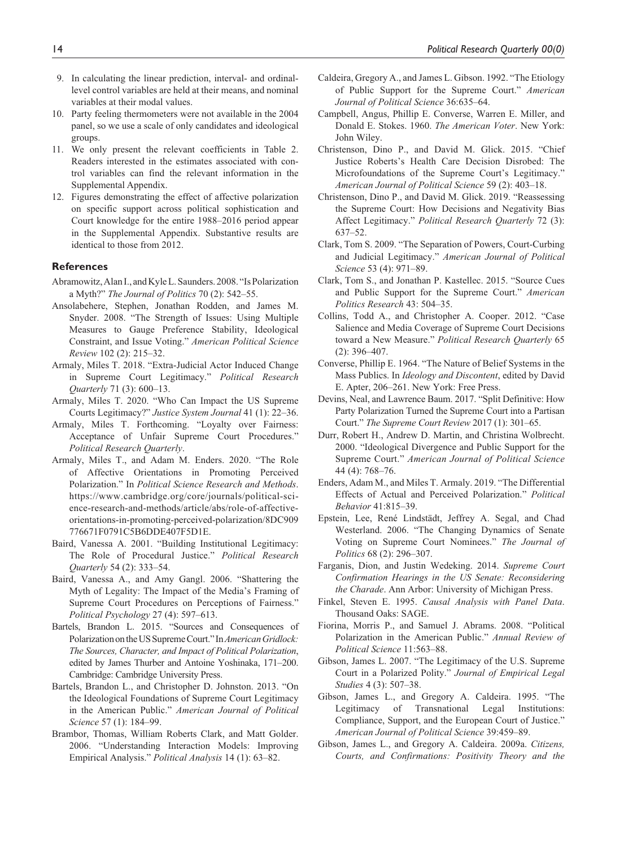- 9. In calculating the linear prediction, interval- and ordinallevel control variables are held at their means, and nominal variables at their modal values.
- 10. Party feeling thermometers were not available in the 2004 panel, so we use a scale of only candidates and ideological groups.
- 11. We only present the relevant coefficients in Table 2. Readers interested in the estimates associated with control variables can find the relevant information in the Supplemental Appendix.
- 12. Figures demonstrating the effect of affective polarization on specific support across political sophistication and Court knowledge for the entire 1988–2016 period appear in the Supplemental Appendix. Substantive results are identical to those from 2012.

#### **References**

- Abramowitz, Alan I., and Kyle L. Saunders. 2008. "Is Polarization a Myth?" *The Journal of Politics* 70 (2): 542–55.
- Ansolabehere, Stephen, Jonathan Rodden, and James M. Snyder. 2008. "The Strength of Issues: Using Multiple Measures to Gauge Preference Stability, Ideological Constraint, and Issue Voting." *American Political Science Review* 102 (2): 215–32.
- Armaly, Miles T. 2018. "Extra-Judicial Actor Induced Change in Supreme Court Legitimacy." *Political Research Quarterly* 71 (3): 600–13.
- Armaly, Miles T. 2020. "Who Can Impact the US Supreme Courts Legitimacy?" *Justice System Journal* 41 (1): 22–36.
- Armaly, Miles T. Forthcoming. "Loyalty over Fairness: Acceptance of Unfair Supreme Court Procedures." *Political Research Quarterly*.
- Armaly, Miles T., and Adam M. Enders. 2020. "The Role of Affective Orientations in Promoting Perceived Polarization." In *Political Science Research and Methods*. [https://www.cambridge.org/core/journals/political-sci](https://www.cambridge.org/core/journals/political-science-research-and-methods/article/abs/role-of-affective-orientations-in-promoting-perceived-polarization/8DC909776671F0791C5B6DDE407F5D1E)[ence-research-and-methods/article/abs/role-of-affective](https://www.cambridge.org/core/journals/political-science-research-and-methods/article/abs/role-of-affective-orientations-in-promoting-perceived-polarization/8DC909776671F0791C5B6DDE407F5D1E)[orientations-in-promoting-perceived-polarization/8DC909](https://www.cambridge.org/core/journals/political-science-research-and-methods/article/abs/role-of-affective-orientations-in-promoting-perceived-polarization/8DC909776671F0791C5B6DDE407F5D1E) [776671F0791C5B6DDE407F5D1E](https://www.cambridge.org/core/journals/political-science-research-and-methods/article/abs/role-of-affective-orientations-in-promoting-perceived-polarization/8DC909776671F0791C5B6DDE407F5D1E).
- Baird, Vanessa A. 2001. "Building Institutional Legitimacy: The Role of Procedural Justice." *Political Research Quarterly* 54 (2): 333–54.
- Baird, Vanessa A., and Amy Gangl. 2006. "Shattering the Myth of Legality: The Impact of the Media's Framing of Supreme Court Procedures on Perceptions of Fairness." *Political Psychology* 27 (4): 597–613.
- Bartels, Brandon L. 2015. "Sources and Consequences of Polarization on the US Supreme Court." In *American Gridlock: The Sources, Character, and Impact of Political Polarization*, edited by James Thurber and Antoine Yoshinaka, 171–200. Cambridge: Cambridge University Press.
- Bartels, Brandon L., and Christopher D. Johnston. 2013. "On the Ideological Foundations of Supreme Court Legitimacy in the American Public." *American Journal of Political Science* 57 (1): 184–99.
- Brambor, Thomas, William Roberts Clark, and Matt Golder. 2006. "Understanding Interaction Models: Improving Empirical Analysis." *Political Analysis* 14 (1): 63–82.
- Caldeira, Gregory A., and James L. Gibson. 1992. "The Etiology of Public Support for the Supreme Court." *American Journal of Political Science* 36:635–64.
- Campbell, Angus, Phillip E. Converse, Warren E. Miller, and Donald E. Stokes. 1960. *The American Voter*. New York: John Wiley.
- Christenson, Dino P., and David M. Glick. 2015. "Chief Justice Roberts's Health Care Decision Disrobed: The Microfoundations of the Supreme Court's Legitimacy." *American Journal of Political Science* 59 (2): 403–18.
- Christenson, Dino P., and David M. Glick. 2019. "Reassessing the Supreme Court: How Decisions and Negativity Bias Affect Legitimacy." *Political Research Quarterly* 72 (3): 637–52.
- Clark, Tom S. 2009. "The Separation of Powers, Court-Curbing and Judicial Legitimacy." *American Journal of Political Science* 53 (4): 971–89.
- Clark, Tom S., and Jonathan P. Kastellec. 2015. "Source Cues and Public Support for the Supreme Court." *American Politics Research* 43: 504–35.
- Collins, Todd A., and Christopher A. Cooper. 2012. "Case Salience and Media Coverage of Supreme Court Decisions toward a New Measure." *Political Research Quarterly* 65 (2): 396–407.
- Converse, Phillip E. 1964. "The Nature of Belief Systems in the Mass Publics. In *Ideology and Discontent*, edited by David E. Apter, 206–261. New York: Free Press.
- Devins, Neal, and Lawrence Baum. 2017. "Split Definitive: How Party Polarization Turned the Supreme Court into a Partisan Court." *The Supreme Court Review* 2017 (1): 301–65.
- Durr, Robert H., Andrew D. Martin, and Christina Wolbrecht. 2000. "Ideological Divergence and Public Support for the Supreme Court." *American Journal of Political Science* 44 (4): 768–76.
- Enders, Adam M., and Miles T. Armaly. 2019. "The Differential Effects of Actual and Perceived Polarization." *Political Behavior* 41:815–39.
- Epstein, Lee, René Lindstädt, Jeffrey A. Segal, and Chad Westerland. 2006. "The Changing Dynamics of Senate Voting on Supreme Court Nominees." *The Journal of Politics* 68 (2): 296–307.
- Farganis, Dion, and Justin Wedeking. 2014. *Supreme Court Confirmation Hearings in the US Senate: Reconsidering the Charade*. Ann Arbor: University of Michigan Press.
- Finkel, Steven E. 1995. *Causal Analysis with Panel Data*. Thousand Oaks: SAGE.
- Fiorina, Morris P., and Samuel J. Abrams. 2008. "Political Polarization in the American Public." *Annual Review of Political Science* 11:563–88.
- Gibson, James L. 2007. "The Legitimacy of the U.S. Supreme Court in a Polarized Polity." *Journal of Empirical Legal Studies* 4 (3): 507–38.
- Gibson, James L., and Gregory A. Caldeira. 1995. "The Legitimacy of Transnational Legal Institutions: Compliance, Support, and the European Court of Justice." *American Journal of Political Science* 39:459–89.
- Gibson, James L., and Gregory A. Caldeira. 2009a. *Citizens, Courts, and Confirmations: Positivity Theory and the*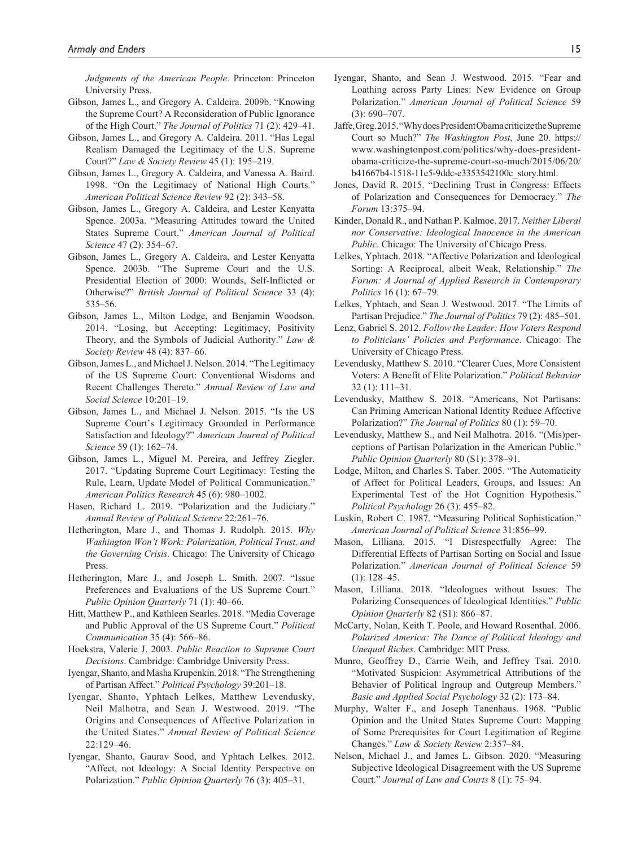*Judgments of the American People*. Princeton: Princeton University Press.

- Gibson, James L., and Gregory A. Caldeira. 2009b. "Knowing the Supreme Court? A Reconsideration of Public Ignorance of the High Court." *The Journal of Politics* 71 (2): 429–41.
- Gibson, James L., and Gregory A. Caldeira. 2011. "Has Legal Realism Damaged the Legitimacy of the U.S. Supreme Court?" *Law & Society Review* 45 (1): 195–219.
- Gibson, James L., Gregory A. Caldeira, and Vanessa A. Baird. 1998. "On the Legitimacy of National High Courts." *American Political Science Review* 92 (2): 343–58.
- Gibson, James L., Gregory A. Caldeira, and Lester Kenyatta Spence. 2003a. "Measuring Attitudes toward the United States Supreme Court." *American Journal of Political Science* 47 (2): 354–67.
- Gibson, James L., Gregory A. Caldeira, and Lester Kenyatta Spence. 2003b. "The Supreme Court and the U.S. Presidential Election of 2000: Wounds, Self-Inflicted or Otherwise?" *British Journal of Political Science* 33 (4): 535–56.
- Gibson, James L., Milton Lodge, and Benjamin Woodson. 2014. "Losing, but Accepting: Legitimacy, Positivity Theory, and the Symbols of Judicial Authority." *Law & Society Review* 48 (4): 837–66.
- Gibson, James L., and Michael J. Nelson. 2014. "The Legitimacy of the US Supreme Court: Conventional Wisdoms and Recent Challenges Thereto." *Annual Review of Law and Social Science* 10:201–19.
- Gibson, James L., and Michael J. Nelson. 2015. "Is the US Supreme Court's Legitimacy Grounded in Performance Satisfaction and Ideology?" *American Journal of Political Science* 59 (1): 162–74.
- Gibson, James L., Miguel M. Pereira, and Jeffrey Ziegler. 2017. "Updating Supreme Court Legitimacy: Testing the Rule, Learn, Update Model of Political Communication." *American Politics Research* 45 (6): 980–1002.
- Hasen, Richard L. 2019. "Polarization and the Judiciary." *Annual Review of Political Science* 22:261–76.
- Hetherington, Marc J., and Thomas J. Rudolph. 2015. *Why Washington Won't Work: Polarization, Political Trust, and the Governing Crisis*. Chicago: The University of Chicago Press.
- Hetherington, Marc J., and Joseph L. Smith. 2007. "Issue Preferences and Evaluations of the US Supreme Court." *Public Opinion Quarterly* 71 (1): 40–66.
- Hitt, Matthew P., and Kathleen Searles. 2018. "Media Coverage and Public Approval of the US Supreme Court." *Political Communication* 35 (4): 566–86.
- Hoekstra, Valerie J. 2003. *Public Reaction to Supreme Court Decisions*. Cambridge: Cambridge University Press.
- Iyengar, Shanto, and Masha Krupenkin. 2018. "The Strengthening of Partisan Affect." *Political Psychology* 39:201–18.
- Iyengar, Shanto, Yphtach Lelkes, Matthew Levendusky, Neil Malhotra, and Sean J. Westwood. 2019. "The Origins and Consequences of Affective Polarization in the United States." *Annual Review of Political Science* 22:129–46.
- Iyengar, Shanto, Gaurav Sood, and Yphtach Lelkes. 2012. "Affect, not Ideology: A Social Identity Perspective on Polarization." *Public Opinion Quarterly* 76 (3): 405–31.
- Iyengar, Shanto, and Sean J. Westwood. 2015. "Fear and Loathing across Party Lines: New Evidence on Group Polarization." *American Journal of Political Science* 59 (3): 690–707.
- Jaffe, Greg. 2015. "Why does President Obama criticize the Supreme Court so Much?" *The Washington Post*, June 20. [https://](https://www.washingtonpost.com/politics/why-does-president-obama-criticize-the-supreme-court-so-much/2015/06/20/b41667b4-1518-11e5-9ddc-e3353542100c_story.html) [www.washingtonpost.com/politics/why-does-president](https://www.washingtonpost.com/politics/why-does-president-obama-criticize-the-supreme-court-so-much/2015/06/20/b41667b4-1518-11e5-9ddc-e3353542100c_story.html)[obama-criticize-the-supreme-court-so-much/2015/06/20/](https://www.washingtonpost.com/politics/why-does-president-obama-criticize-the-supreme-court-so-much/2015/06/20/b41667b4-1518-11e5-9ddc-e3353542100c_story.html) [b41667b4-1518-11e5-9ddc-e3353542100c\\_story.html.](https://www.washingtonpost.com/politics/why-does-president-obama-criticize-the-supreme-court-so-much/2015/06/20/b41667b4-1518-11e5-9ddc-e3353542100c_story.html)
- Jones, David R. 2015. "Declining Trust in Congress: Effects of Polarization and Consequences for Democracy." *The Forum* 13:375–94.
- Kinder, Donald R., and Nathan P. Kalmoe. 2017. *Neither Liberal nor Conservative: Ideological Innocence in the American Public*. Chicago: The University of Chicago Press.
- Lelkes, Yphtach. 2018. "Affective Polarization and Ideological Sorting: A Reciprocal, albeit Weak, Relationship." *The Forum: A Journal of Applied Research in Contemporary Politics* 16 (1): 67–79.
- Lelkes, Yphtach, and Sean J. Westwood. 2017. "The Limits of Partisan Prejudice." *The Journal of Politics* 79 (2): 485–501.
- Lenz, Gabriel S. 2012. *Follow the Leader: How Voters Respond to Politicians' Policies and Performance*. Chicago: The University of Chicago Press.
- Levendusky, Matthew S. 2010. "Clearer Cues, More Consistent Voters: A Benefit of Elite Polarization." *Political Behavior* 32 (1): 111–31.
- Levendusky, Matthew S. 2018. "Americans, Not Partisans: Can Priming American National Identity Reduce Affective Polarization?" *The Journal of Politics* 80 (1): 59–70.
- Levendusky, Matthew S., and Neil Malhotra. 2016. "(Mis)perceptions of Partisan Polarization in the American Public." *Public Opinion Quarterly* 80 (S1): 378–91.
- Lodge, Milton, and Charles S. Taber. 2005. "The Automaticity of Affect for Political Leaders, Groups, and Issues: An Experimental Test of the Hot Cognition Hypothesis." *Political Psychology* 26 (3): 455–82.
- Luskin, Robert C. 1987. "Measuring Political Sophistication." *American Journal of Political Science* 31:856–99.
- Mason, Lilliana. 2015. "I Disrespectfully Agree: The Differential Effects of Partisan Sorting on Social and Issue Polarization." *American Journal of Political Science* 59  $(1): 128-45.$
- Mason, Lilliana. 2018. "Ideologues without Issues: The Polarizing Consequences of Ideological Identities." *Public Opinion Quarterly* 82 (S1): 866–87.
- McCarty, Nolan, Keith T. Poole, and Howard Rosenthal. 2006. *Polarized America: The Dance of Political Ideology and Unequal Riches*. Cambridge: MIT Press.
- Munro, Geoffrey D., Carrie Weih, and Jeffrey Tsai. 2010. "Motivated Suspicion: Asymmetrical Attributions of the Behavior of Political Ingroup and Outgroup Members." *Basic and Applied Social Psychology* 32 (2): 173–84.
- Murphy, Walter F., and Joseph Tanenhaus. 1968. "Public Opinion and the United States Supreme Court: Mapping of Some Prerequisites for Court Legitimation of Regime Changes." *Law & Society Review* 2:357–84.
- Nelson, Michael J., and James L. Gibson. 2020. "Measuring Subjective Ideological Disagreement with the US Supreme Court." *Journal of Law and Courts* 8 (1): 75–94.